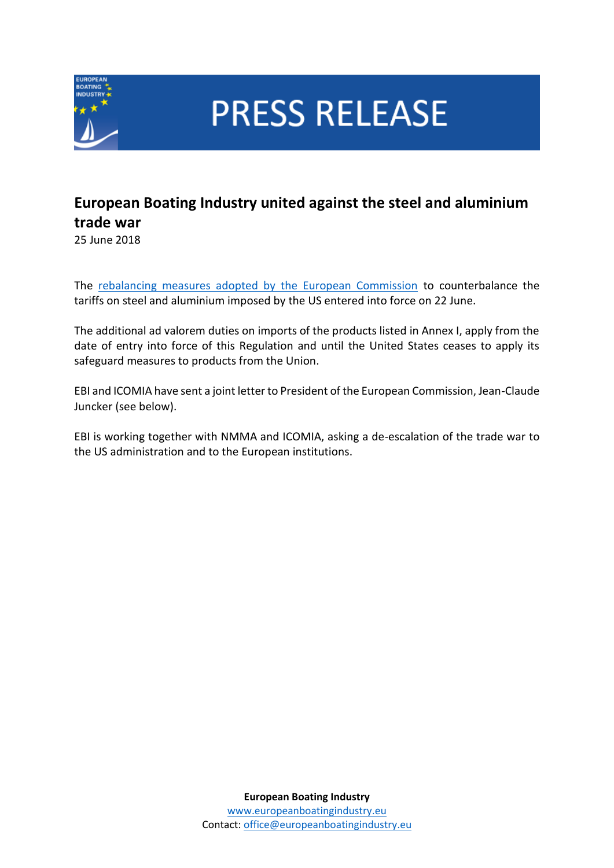

**PRESS RELEASE** 

## **European Boating Industry united against the steel and aluminium trade war**

25 June 2018

The [rebalancing measures adopted by the European Commission](https://eur-lex.europa.eu/legal-content/EN/TXT/?uri=CELEX:32018R0886) to counterbalance the tariffs on steel and aluminium imposed by the US entered into force on 22 June.

The additional ad valorem duties on imports of the products listed in Annex I, apply from the date of entry into force of this Regulation and until the United States ceases to apply its safeguard measures to products from the Union.

EBI and ICOMIA have sent a joint letter to President of the European Commission, Jean-Claude Juncker (see below).

EBI is working together with NMMA and ICOMIA, asking a de-escalation of the trade war to the US administration and to the European institutions.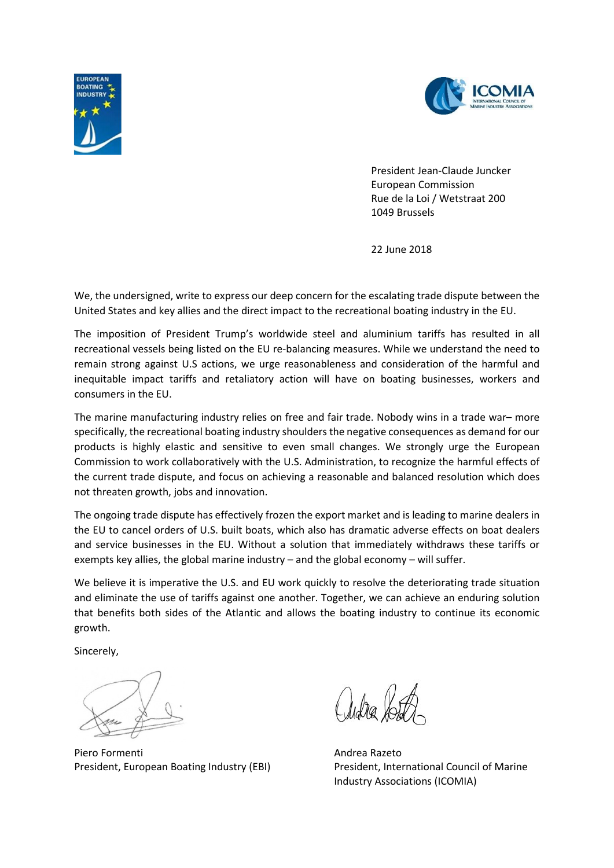



 President Jean-Claude Juncker European Commission Rue de la Loi / Wetstraat 200 1049 Brussels

22 June 2018

We, the undersigned, write to express our deep concern for the escalating trade dispute between the United States and key allies and the direct impact to the recreational boating industry in the EU.

The imposition of President Trump's worldwide steel and aluminium tariffs has resulted in all recreational vessels being listed on the EU re-balancing measures. While we understand the need to remain strong against U.S actions, we urge reasonableness and consideration of the harmful and inequitable impact tariffs and retaliatory action will have on boating businesses, workers and consumers in the EU.

The marine manufacturing industry relies on free and fair trade. Nobody wins in a trade war– more specifically, the recreational boating industry shoulders the negative consequences as demand for our products is highly elastic and sensitive to even small changes. We strongly urge the European Commission to work collaboratively with the U.S. Administration, to recognize the harmful effects of the current trade dispute, and focus on achieving a reasonable and balanced resolution which does not threaten growth, jobs and innovation.

The ongoing trade dispute has effectively frozen the export market and is leading to marine dealers in the EU to cancel orders of U.S. built boats, which also has dramatic adverse effects on boat dealers and service businesses in the EU. Without a solution that immediately withdraws these tariffs or exempts key allies, the global marine industry – and the global economy – will suffer.

We believe it is imperative the U.S. and EU work quickly to resolve the deteriorating trade situation and eliminate the use of tariffs against one another. Together, we can achieve an enduring solution that benefits both sides of the Atlantic and allows the boating industry to continue its economic growth.

Sincerely,

Piero Formenti alla alla controllata all'estate di Andrea Razeto President, European Boating Industry (EBI) President, International Council of Marine

Industry Associations (ICOMIA)